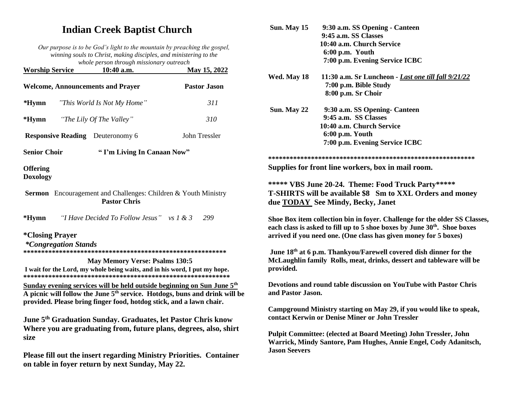# **Indian Creek Baptist Church**

*Our purpose is to be God's light to the mountain by preaching the gospel, winning souls to Christ, making disciples, and ministering to the whole person through missionary outreach*

| <b>Worship Service</b>                   | 10:40 a.m.                                                                                                                                                | May 15, 2022                                                                           |
|------------------------------------------|-----------------------------------------------------------------------------------------------------------------------------------------------------------|----------------------------------------------------------------------------------------|
| <b>Welcome, Announcements and Prayer</b> |                                                                                                                                                           | <b>Pastor Jason</b>                                                                    |
| $*Hymn$                                  | "This World Is Not My Home"                                                                                                                               | 311                                                                                    |
| $*Hymn$                                  | "The Lily Of The Valley"                                                                                                                                  | 310                                                                                    |
| <b>Responsive Reading</b> Deuteronomy 6  |                                                                                                                                                           | <b>John Tressler</b>                                                                   |
| <b>Senior Choir</b>                      | "I'm Living In Canaan Now"                                                                                                                                |                                                                                        |
| <b>Offering</b><br><b>Doxology</b>       |                                                                                                                                                           |                                                                                        |
|                                          | <b>Sermon</b> Encouragement and Challenges: Children & Youth Ministry<br><b>Pastor Chris</b>                                                              |                                                                                        |
| $*Hymn$                                  | "I Have Decided To Follow Jesus" vs $1 \& 3$                                                                                                              | 299                                                                                    |
| <i><b>*Closing Prayer</b></i>            |                                                                                                                                                           |                                                                                        |
| <i>*Congregation Stands</i>              |                                                                                                                                                           |                                                                                        |
|                                          | <b>May Memory Verse: Psalms 130:5</b>                                                                                                                     |                                                                                        |
|                                          | I wait for the Lord, my whole being waits, and in his word, I put my hope.                                                                                |                                                                                        |
|                                          | Sunday evening services will be held outside beginning on Sun June 5 <sup>th</sup><br>provided. Please bring finger food, hotdog stick, and a lawn chair. | A picnic will follow the June 5 <sup>th</sup> service. Hotdogs, buns and drink will be |
| size                                     | June 5 <sup>th</sup> Graduation Sunday. Graduates, let Pastor Chris know                                                                                  | Where you are graduating from, future plans, degrees, also, shirt                      |
|                                          |                                                                                                                                                           | Please fill out the insert regarding Ministry Priorities. Container                    |

**on table in foyer return by next Sunday, May 22.**

| Sun. May 15                                                                                                                                                                                                                            | 9:30 a.m. SS Opening - Canteen<br>9:45 a.m. SS Classes<br>10:40 a.m. Church Service<br>6:00 p.m. Youth<br>7:00 p.m. Evening Service ICBC |  |  |
|----------------------------------------------------------------------------------------------------------------------------------------------------------------------------------------------------------------------------------------|------------------------------------------------------------------------------------------------------------------------------------------|--|--|
| Wed. May 18                                                                                                                                                                                                                            | 11:30 a.m. Sr Luncheon - Last one till fall 9/21/22<br>7:00 p.m. Bible Study<br>8:00 p.m. Sr Choir                                       |  |  |
| Sun. May 22                                                                                                                                                                                                                            | 9:30 a.m. SS Opening- Canteen<br>9:45 a.m. SS Classes<br>10:40 a.m. Church Service<br>6:00 p.m. Youth<br>7:00 p.m. Evening Service ICBC  |  |  |
|                                                                                                                                                                                                                                        |                                                                                                                                          |  |  |
| Supplies for front line workers, box in mail room.                                                                                                                                                                                     |                                                                                                                                          |  |  |
| ***** VBS June 20-24. Theme: Food Truck Party*****<br>T-SHIRTS will be available \$8 Sm to XXL Orders and money<br>due TODAY See Mindy, Becky, Janet                                                                                   |                                                                                                                                          |  |  |
| Shoe Box item collection bin in foyer. Challenge for the older SS Classes,<br>each class is asked to fill up to 5 shoe boxes by June 30 <sup>th</sup> . Shoe boxes<br>arrived if you need one. (One class has given money for 5 boxes) |                                                                                                                                          |  |  |
| June 18th at 6 p.m. Thankyou/Farewell covered dish dinner for the<br>McLaughlin family Rolls, meat, drinks, dessert and tableware will be<br>provided.                                                                                 |                                                                                                                                          |  |  |
| Devotions and round table discussion on YouTube with Pastor Chris<br>and Pastor Jason.                                                                                                                                                 |                                                                                                                                          |  |  |
| Campground Ministry starting on May 29, if you would like to speak,<br>contact Kerwin or Denise Miner or John Tressler                                                                                                                 |                                                                                                                                          |  |  |
| <b>Pulpit Committee: (elected at Board Meeting) John Tressler, John</b><br>Warrick, Mindy Santore, Pam Hughes, Annie Engel, Cody Adanitsch,<br><b>Jason Seevers</b>                                                                    |                                                                                                                                          |  |  |